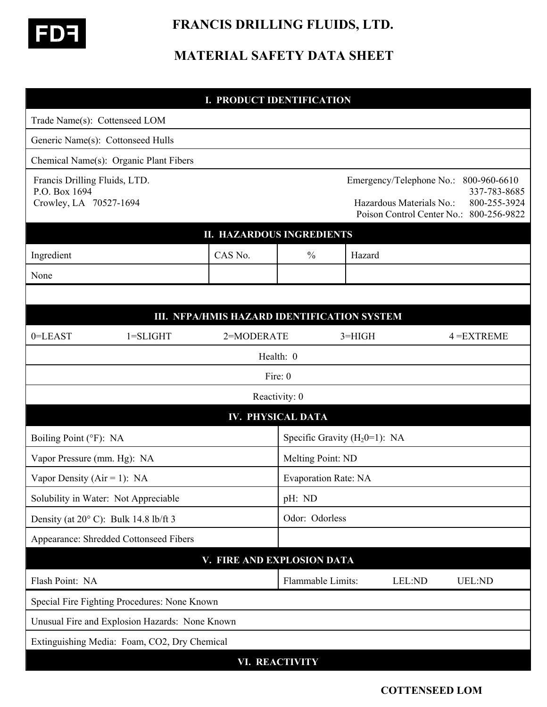

 **FRANCIS DRILLING FLUIDS, LTD.** 

## **MATERIAL SAFETY DATA SHEET**

| <b>I. PRODUCT IDENTIFICATION</b>                                         |                   |                                                                                                                                                 |  |  |
|--------------------------------------------------------------------------|-------------------|-------------------------------------------------------------------------------------------------------------------------------------------------|--|--|
| Trade Name(s): Cottenseed LOM                                            |                   |                                                                                                                                                 |  |  |
| Generic Name(s): Cottonseed Hulls                                        |                   |                                                                                                                                                 |  |  |
| Chemical Name(s): Organic Plant Fibers                                   |                   |                                                                                                                                                 |  |  |
| Francis Drilling Fluids, LTD.<br>P.O. Box 1694<br>Crowley, LA 70527-1694 |                   | Emergency/Telephone No.:<br>800-960-6610<br>337-783-8685<br>800-255-3924<br>Hazardous Materials No.:<br>Poison Control Center No.: 800-256-9822 |  |  |
| <b>II. HAZARDOUS INGREDIENTS</b>                                         |                   |                                                                                                                                                 |  |  |
| CAS No.<br>Ingredient                                                    | $\frac{0}{0}$     | Hazard                                                                                                                                          |  |  |
| None                                                                     |                   |                                                                                                                                                 |  |  |
|                                                                          |                   |                                                                                                                                                 |  |  |
| III. NFPA/HMIS HAZARD IDENTIFICATION SYSTEM                              |                   |                                                                                                                                                 |  |  |
| 0=LEAST<br>$1 = SLIGHT$<br>2=MODERATE                                    |                   | $3 = HIGH$<br>$4 = EXTREME$                                                                                                                     |  |  |
| Health: 0                                                                |                   |                                                                                                                                                 |  |  |
| Fire: 0                                                                  |                   |                                                                                                                                                 |  |  |
| Reactivity: 0                                                            |                   |                                                                                                                                                 |  |  |
| <b>IV. PHYSICAL DATA</b>                                                 |                   |                                                                                                                                                 |  |  |
| Boiling Point (°F): NA                                                   |                   | Specific Gravity $(H_2 0=1)$ : NA                                                                                                               |  |  |
| Vapor Pressure (mm. Hg): NA                                              | Melting Point: ND |                                                                                                                                                 |  |  |
| Vapor Density ( $Air = 1$ ): NA                                          |                   | <b>Evaporation Rate: NA</b>                                                                                                                     |  |  |
| Solubility in Water: Not Appreciable                                     | pH: ND            |                                                                                                                                                 |  |  |
| Odor: Odorless<br>Density (at $20^{\circ}$ C): Bulk 14.8 lb/ft 3         |                   |                                                                                                                                                 |  |  |
| Appearance: Shredded Cottonseed Fibers                                   |                   |                                                                                                                                                 |  |  |
| V. FIRE AND EXPLOSION DATA                                               |                   |                                                                                                                                                 |  |  |
| Flash Point: NA                                                          | Flammable Limits: | LEL:ND<br><b>UEL:ND</b>                                                                                                                         |  |  |
| Special Fire Fighting Procedures: None Known                             |                   |                                                                                                                                                 |  |  |
| Unusual Fire and Explosion Hazards: None Known                           |                   |                                                                                                                                                 |  |  |
| Extinguishing Media: Foam, CO2, Dry Chemical                             |                   |                                                                                                                                                 |  |  |
| <b>VI. REACTIVITY</b>                                                    |                   |                                                                                                                                                 |  |  |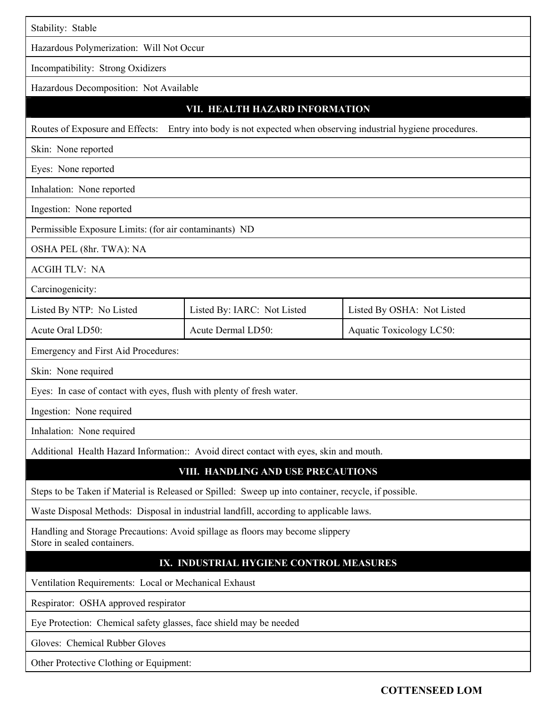| Stability: Stable                                                                                                |                             |                                 |  |  |
|------------------------------------------------------------------------------------------------------------------|-----------------------------|---------------------------------|--|--|
| Hazardous Polymerization: Will Not Occur                                                                         |                             |                                 |  |  |
| Incompatibility: Strong Oxidizers                                                                                |                             |                                 |  |  |
| Hazardous Decomposition: Not Available                                                                           |                             |                                 |  |  |
| VII. HEALTH HAZARD INFORMATION                                                                                   |                             |                                 |  |  |
| Entry into body is not expected when observing industrial hygiene procedures.<br>Routes of Exposure and Effects: |                             |                                 |  |  |
| Skin: None reported                                                                                              |                             |                                 |  |  |
| Eyes: None reported                                                                                              |                             |                                 |  |  |
| Inhalation: None reported                                                                                        |                             |                                 |  |  |
| Ingestion: None reported                                                                                         |                             |                                 |  |  |
| Permissible Exposure Limits: (for air contaminants) ND                                                           |                             |                                 |  |  |
| OSHA PEL (8hr. TWA): NA                                                                                          |                             |                                 |  |  |
| <b>ACGIH TLV: NA</b>                                                                                             |                             |                                 |  |  |
| Carcinogenicity:                                                                                                 |                             |                                 |  |  |
| Listed By NTP: No Listed                                                                                         | Listed By: IARC: Not Listed | Listed By OSHA: Not Listed      |  |  |
| Acute Oral LD50:                                                                                                 | Acute Dermal LD50:          | <b>Aquatic Toxicology LC50:</b> |  |  |
| Emergency and First Aid Procedures:                                                                              |                             |                                 |  |  |
| Skin: None required                                                                                              |                             |                                 |  |  |
| Eyes: In case of contact with eyes, flush with plenty of fresh water.                                            |                             |                                 |  |  |
| Ingestion: None required                                                                                         |                             |                                 |  |  |
| Inhalation: None required                                                                                        |                             |                                 |  |  |
| Additional Health Hazard Information:: Avoid direct contact with eyes, skin and mouth.                           |                             |                                 |  |  |
| VIII. HANDLING AND USE PRECAUTIONS                                                                               |                             |                                 |  |  |
| Steps to be Taken if Material is Released or Spilled: Sweep up into container, recycle, if possible.             |                             |                                 |  |  |
| Waste Disposal Methods: Disposal in industrial landfill, according to applicable laws.                           |                             |                                 |  |  |
| Handling and Storage Precautions: Avoid spillage as floors may become slippery<br>Store in sealed containers.    |                             |                                 |  |  |
| IX. INDUSTRIAL HYGIENE CONTROL MEASURES                                                                          |                             |                                 |  |  |
| Ventilation Requirements: Local or Mechanical Exhaust                                                            |                             |                                 |  |  |
| Respirator: OSHA approved respirator                                                                             |                             |                                 |  |  |
| Eye Protection: Chemical safety glasses, face shield may be needed                                               |                             |                                 |  |  |
| Gloves: Chemical Rubber Gloves                                                                                   |                             |                                 |  |  |
| Other Protective Clothing or Equipment:                                                                          |                             |                                 |  |  |